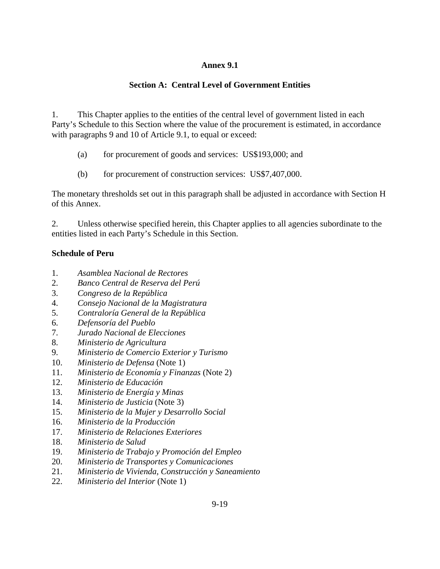## **Annex 9.1**

# **Section A: Central Level of Government Entities**

1. This Chapter applies to the entities of the central level of government listed in each Party's Schedule to this Section where the value of the procurement is estimated, in accordance with paragraphs 9 and 10 of Article 9.1, to equal or exceed:

- (a) for procurement of goods and services: US\$193,000; and
- (b) for procurement of construction services: US\$7,407,000.

The monetary thresholds set out in this paragraph shall be adjusted in accordance with Section H of this Annex.

2. Unless otherwise specified herein, this Chapter applies to all agencies subordinate to the entities listed in each Party's Schedule in this Section.

## **Schedule of Peru**

- 1. *Asamblea Nacional de Rectores*
- 2. *Banco Central de Reserva del Perú*
- 3. *Congreso de la República*
- 4. *Consejo Nacional de la Magistratura*
- 5. *Contraloría General de la República*
- 6. *Defensoría del Pueblo*
- 7. *Jurado Nacional de Elecciones*
- 8. *Ministerio de Agricultura*
- 9. *Ministerio de Comercio Exterior y Turismo*
- 10. *Ministerio de Defensa* (Note 1)
- 11. *Ministerio de Economía y Finanzas* (Note 2)
- 12. *Ministerio de Educación*
- 13. *Ministerio de Energía y Minas*
- 14. *Ministerio de Justicia* (Note 3)
- 15. *Ministerio de la Mujer y Desarrollo Social*
- 16. *Ministerio de la Producción*
- 17. *Ministerio de Relaciones Exteriores*
- 18. *Ministerio de Salud*
- 19. *Ministerio de Trabajo y Promoción del Empleo*
- 20. *Ministerio de Transportes y Comunicaciones*
- 21. *Ministerio de Vivienda, Construcción y Saneamiento*
- 22. *Ministerio del Interior* (Note 1)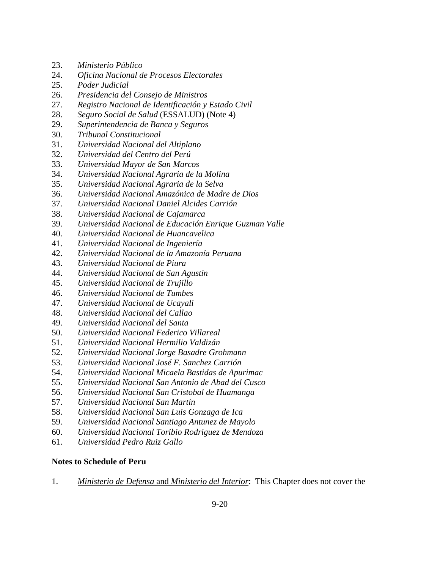- 23. *Ministerio Público*
- 24. *Oficina Nacional de Procesos Electorales*
- 25. *Poder Judicial*
- 26. *Presidencia del Consejo de Ministros*
- 27. *Registro Nacional de Identificación y Estado Civil*
- 28. *Seguro Social de Salud* (ESSALUD) (Note 4)
- 29. *Superintendencia de Banca y Seguros*
- 30. *Tribunal Constitucional*
- 31. *Universidad Nacional del Altiplano*
- 32. *Universidad del Centro del Perú*
- 33. *Universidad Mayor de San Marcos*
- 34. *Universidad Nacional Agraria de la Molina*
- 35. *Universidad Nacional Agraria de la Selva*
- 36. *Universidad Nacional Amazónica de Madre de Dios*
- 37. *Universidad Nacional Daniel Alcides Carrión*
- 38. *Universidad Nacional de Cajamarca*
- 39. *Universidad Nacional de Educación Enrique Guzman Valle*
- 40. *Universidad Nacional de Huancavelica*
- 41. *Universidad Nacional de Ingeniería*
- 42. *Universidad Nacional de la Amazonía Peruana*
- 43. *Universidad Nacional de Piura*
- 44. *Universidad Nacional de San Agustín*
- 45. *Universidad Nacional de Trujillo*
- 46. *Universidad Nacional de Tumbes*
- 47. *Universidad Nacional de Ucayali*
- 48. *Universidad Nacional del Callao*
- 49. *Universidad Nacional del Santa*
- 50. *Universidad Nacional Federico Villareal*
- 51. *Universidad Nacional Hermilio Valdizán*
- 52. *Universidad Nacional Jorge Basadre Grohmann*
- 53. *Universidad Nacional José F. Sanchez Carrión*
- 54. *Universidad Nacional Micaela Bastidas de Apurimac*
- 55. *Universidad Nacional San Antonio de Abad del Cusco*
- 56. *Universidad Nacional San Cristobal de Huamanga*
- 57. *Universidad Nacional San Martín*
- 58. *Universidad Nacional San Luis Gonzaga de Ica*
- 59. *Universidad Nacional Santiago Antunez de Mayolo*
- 60. *Universidad Nacional Toribio Rodriguez de Mendoza*
- 61. *Universidad Pedro Ruiz Gallo*

## **Notes to Schedule of Peru**

1. *Ministerio de Defensa* and *Ministerio del Interior*: This Chapter does not cover the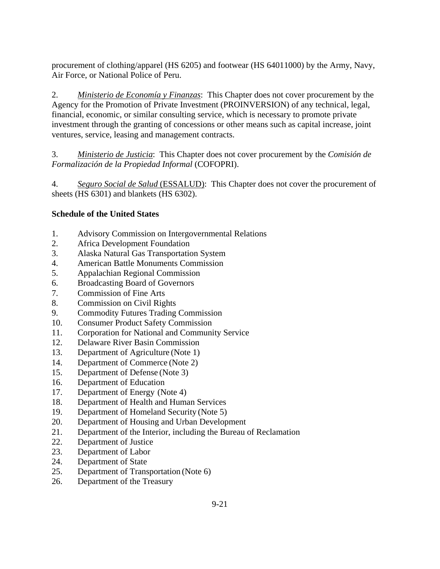procurement of clothing/apparel (HS 6205) and footwear (HS 64011000) by the Army, Navy, Air Force, or National Police of Peru.

2. *Ministerio de Economía y Finanzas*: This Chapter does not cover procurement by the Agency for the Promotion of Private Investment (PROINVERSION) of any technical, legal, financial, economic, or similar consulting service, which is necessary to promote private investment through the granting of concessions or other means such as capital increase, joint ventures, service, leasing and management contracts.

3. *Ministerio de Justicia*: This Chapter does not cover procurement by the *Comisión de Formalización de la Propiedad Informal* (COFOPRI).

4. *Seguro Social de Salud* (ESSALUD): This Chapter does not cover the procurement of sheets (HS 6301) and blankets (HS 6302).

## **Schedule of the United States**

- 1. Advisory Commission on Intergovernmental Relations
- 2. Africa Development Foundation
- 3. Alaska Natural Gas Transportation System
- 4. American Battle Monuments Commission
- 5. Appalachian Regional Commission
- 6. Broadcasting Board of Governors
- 7. Commission of Fine Arts
- 8. Commission on Civil Rights
- 9. Commodity Futures Trading Commission
- 10. Consumer Product Safety Commission
- 11. Corporation for National and Community Service
- 12. Delaware River Basin Commission
- 13. Department of Agriculture (Note 1)
- 14. Department of Commerce (Note 2)
- 15. Department of Defense (Note 3)
- 16. Department of Education
- 17. Department of Energy (Note 4)
- 18. Department of Health and Human Services
- 19. Department of Homeland Security (Note 5)
- 20. Department of Housing and Urban Development
- 21. Department of the Interior, including the Bureau of Reclamation
- 22. Department of Justice
- 23. Department of Labor
- 24. Department of State
- 25. Department of Transportation (Note 6)
- 26. Department of the Treasury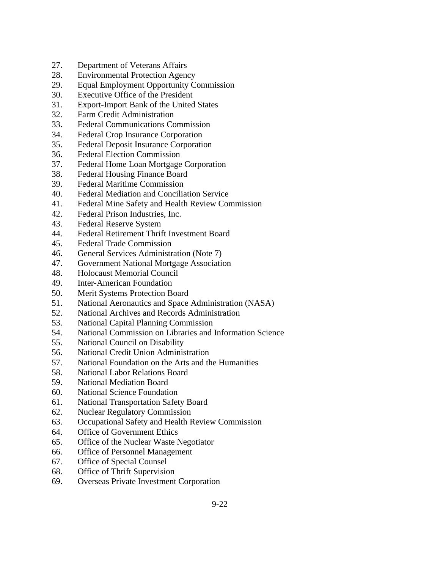- 27. Department of Veterans Affairs
- 28. Environmental Protection Agency
- 29. Equal Employment Opportunity Commission
- 30. Executive Office of the President
- 31. Export-Import Bank of the United States
- 32. Farm Credit Administration
- 33. Federal Communications Commission
- 34. Federal Crop Insurance Corporation
- 35. Federal Deposit Insurance Corporation
- 36. Federal Election Commission
- 37. Federal Home Loan Mortgage Corporation
- 38. Federal Housing Finance Board
- 39. Federal Maritime Commission
- 40. Federal Mediation and Conciliation Service
- 41. Federal Mine Safety and Health Review Commission
- 42. Federal Prison Industries, Inc.
- 43. Federal Reserve System
- 44. Federal Retirement Thrift Investment Board
- 45. Federal Trade Commission
- 46. General Services Administration (Note 7)
- 47. Government National Mortgage Association
- 48. Holocaust Memorial Council
- 49. Inter-American Foundation
- 50. Merit Systems Protection Board
- 51. National Aeronautics and Space Administration (NASA)
- 52. National Archives and Records Administration
- 53. National Capital Planning Commission
- 54. National Commission on Libraries and Information Science
- 55. National Council on Disability
- 56. National Credit Union Administration
- 57. National Foundation on the Arts and the Humanities
- 58. National Labor Relations Board
- 59. National Mediation Board
- 60. National Science Foundation
- 61. National Transportation Safety Board
- 62. Nuclear Regulatory Commission
- 63. Occupational Safety and Health Review Commission
- 64. Office of Government Ethics
- 65. Office of the Nuclear Waste Negotiator
- 66. Office of Personnel Management
- 67. Office of Special Counsel
- 68. Office of Thrift Supervision
- 69. Overseas Private Investment Corporation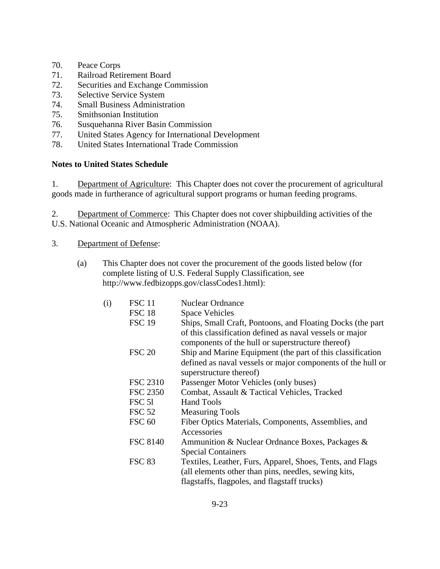- 70. Peace Corps
- 71. Railroad Retirement Board
- 72. Securities and Exchange Commission
- 73. Selective Service System
- 74. Small Business Administration
- 75. Smithsonian Institution
- 76. Susquehanna River Basin Commission
- 77. United States Agency for International Development
- 78. United States International Trade Commission

## **Notes to United States Schedule**

1. Department of Agriculture: This Chapter does not cover the procurement of agricultural goods made in furtherance of agricultural support programs or human feeding programs.

2. Department of Commerce: This Chapter does not cover shipbuilding activities of the U.S. National Oceanic and Atmospheric Administration (NOAA).

- 3. Department of Defense:
	- (a) This Chapter does not cover the procurement of the goods listed below (for complete listing of U.S. Federal Supply Classification, see http://www.fedbizopps.gov/classCodes1.html):

| (i) | <b>FSC</b> 11   | <b>Nuclear Ordnance</b>                                                                                           |
|-----|-----------------|-------------------------------------------------------------------------------------------------------------------|
|     | <b>FSC 18</b>   | <b>Space Vehicles</b>                                                                                             |
|     | <b>FSC 19</b>   | Ships, Small Craft, Pontoons, and Floating Docks (the part                                                        |
|     |                 | of this classification defined as naval vessels or major<br>components of the hull or superstructure thereof)     |
|     | <b>FSC 20</b>   | Ship and Marine Equipment (the part of this classification                                                        |
|     |                 | defined as naval vessels or major components of the hull or<br>superstructure thereof)                            |
|     | <b>FSC 2310</b> | Passenger Motor Vehicles (only buses)                                                                             |
|     | <b>FSC 2350</b> | Combat, Assault & Tactical Vehicles, Tracked                                                                      |
|     | FSC 51          | <b>Hand Tools</b>                                                                                                 |
|     | <b>FSC 52</b>   | <b>Measuring Tools</b>                                                                                            |
|     | <b>FSC 60</b>   | Fiber Optics Materials, Components, Assemblies, and                                                               |
|     |                 | Accessories                                                                                                       |
|     | <b>FSC 8140</b> | Ammunition & Nuclear Ordnance Boxes, Packages &                                                                   |
|     |                 | <b>Special Containers</b>                                                                                         |
|     | <b>FSC 83</b>   | Textiles, Leather, Furs, Apparel, Shoes, Tents, and Flags<br>(all elements other than pins, needles, sewing kits, |
|     |                 | flagstaffs, flagpoles, and flagstaff trucks)                                                                      |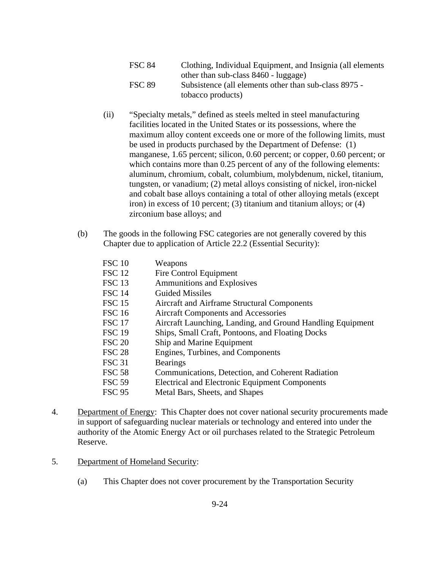- FSC 84 Clothing, Individual Equipment, and Insignia (all elements other than sub-class 8460 - luggage) FSC 89 Subsistence (all elements other than sub-class 8975 tobacco products)
- (ii) "Specialty metals," defined as steels melted in steel manufacturing facilities located in the United States or its possessions, where the maximum alloy content exceeds one or more of the following limits, must be used in products purchased by the Department of Defense: (1) manganese, 1.65 percent; silicon, 0.60 percent; or copper, 0.60 percent; or which contains more than 0.25 percent of any of the following elements: aluminum, chromium, cobalt, columbium, molybdenum, nickel, titanium, tungsten, or vanadium; (2) metal alloys consisting of nickel, iron-nickel and cobalt base alloys containing a total of other alloying metals (except iron) in excess of 10 percent; (3) titanium and titanium alloys; or (4) zirconium base alloys; and
- (b) The goods in the following FSC categories are not generally covered by this Chapter due to application of Article 22.2 (Essential Security):

| <b>FSC 10</b> | Weapons                                                    |
|---------------|------------------------------------------------------------|
| <b>FSC 12</b> | Fire Control Equipment                                     |
| <b>FSC 13</b> | <b>Ammunitions and Explosives</b>                          |
| <b>FSC 14</b> | <b>Guided Missiles</b>                                     |
| <b>FSC 15</b> | Aircraft and Airframe Structural Components                |
| <b>FSC 16</b> | <b>Aircraft Components and Accessories</b>                 |
| <b>FSC 17</b> | Aircraft Launching, Landing, and Ground Handling Equipment |
| <b>FSC 19</b> | Ships, Small Craft, Pontoons, and Floating Docks           |
| <b>FSC 20</b> | Ship and Marine Equipment                                  |
| <b>FSC 28</b> | Engines, Turbines, and Components                          |
| <b>FSC 31</b> | <b>Bearings</b>                                            |
| <b>FSC 58</b> | Communications, Detection, and Coherent Radiation          |
| <b>FSC 59</b> | <b>Electrical and Electronic Equipment Components</b>      |
| <b>FSC 95</b> | Metal Bars, Sheets, and Shapes                             |

- 4. Department of Energy: This Chapter does not cover national security procurements made in support of safeguarding nuclear materials or technology and entered into under the authority of the Atomic Energy Act or oil purchases related to the Strategic Petroleum Reserve.
- 5. Department of Homeland Security:
	- (a) This Chapter does not cover procurement by the Transportation Security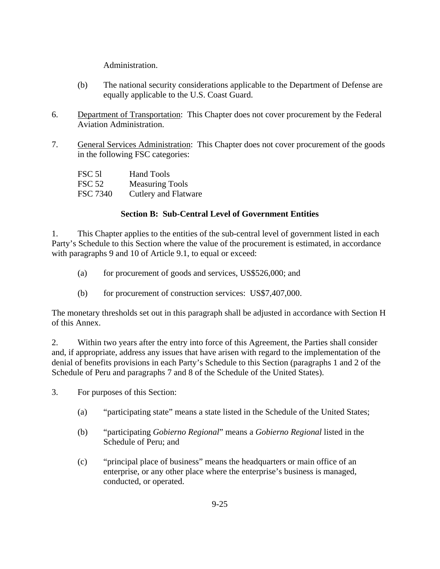Administration.

- (b) The national security considerations applicable to the Department of Defense are equally applicable to the U.S. Coast Guard.
- 6. Department of Transportation: This Chapter does not cover procurement by the Federal Aviation Administration.
- 7. General Services Administration: This Chapter does not cover procurement of the goods in the following FSC categories:

| FSC 51          | <b>Hand Tools</b>      |
|-----------------|------------------------|
| <b>FSC 52</b>   | <b>Measuring Tools</b> |
| <b>FSC 7340</b> | Cutlery and Flatware   |

# **Section B: Sub-Central Level of Government Entities**

1. This Chapter applies to the entities of the sub-central level of government listed in each Party's Schedule to this Section where the value of the procurement is estimated, in accordance with paragraphs 9 and 10 of Article 9.1, to equal or exceed:

- (a) for procurement of goods and services, US\$526,000; and
- (b) for procurement of construction services: US\$7,407,000.

The monetary thresholds set out in this paragraph shall be adjusted in accordance with Section H of this Annex.

2. Within two years after the entry into force of this Agreement, the Parties shall consider and, if appropriate, address any issues that have arisen with regard to the implementation of the denial of benefits provisions in each Party's Schedule to this Section (paragraphs 1 and 2 of the Schedule of Peru and paragraphs 7 and 8 of the Schedule of the United States).

3. For purposes of this Section:

- (a) "participating state" means a state listed in the Schedule of the United States;
- (b) "participating *Gobierno Regional*" means a *Gobierno Regional* listed in the Schedule of Peru; and
- (c) "principal place of business" means the headquarters or main office of an enterprise, or any other place where the enterprise's business is managed, conducted, or operated.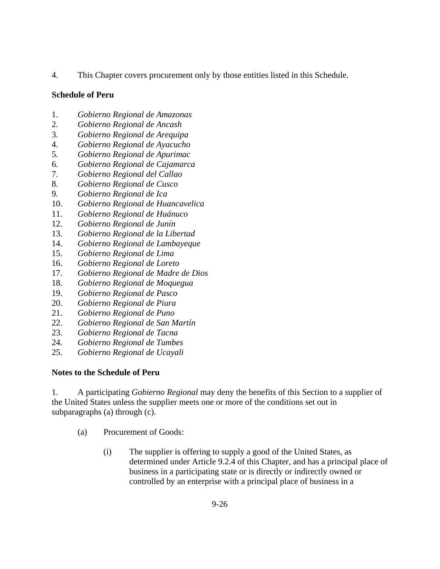4. This Chapter covers procurement only by those entities listed in this Schedule.

## **Schedule of Peru**

- 1. *Gobierno Regional de Amazonas*
- 2. *Gobierno Regional de Ancash*
- 3. *Gobierno Regional de Arequipa*
- 4. *Gobierno Regional de Ayacucho*
- 5. *Gobierno Regional de Apurimac*
- 6. *Gobierno Regional de Cajamarca*
- 7. *Gobierno Regional del Callao*
- 8. *Gobierno Regional de Cusco*
- 9. *Gobierno Regional de Ica*
- 10. *Gobierno Regional de Huancavelica*
- 11. *Gobierno Regional de Huánuco*
- 12. *Gobierno Regional de Junín*
- 13. *Gobierno Regional de la Libertad*
- 14. *Gobierno Regional de Lambayeque*
- 15. *Gobierno Regional de Lima*
- 16. *Gobierno Regional de Loreto*
- 17. *Gobierno Regional de Madre de Dios*
- 18. *Gobierno Regional de Moquegua*
- 19. *Gobierno Regional de Pasco*
- 20. *Gobierno Regional de Piura*
- 21. *Gobierno Regional de Puno*
- 22. *Gobierno Regional de San Martín*
- 23. *Gobierno Regional de Tacna*
- 24. *Gobierno Regional de Tumbes*
- 25. *Gobierno Regional de Ucayali*

# **Notes to the Schedule of Peru**

1. A participating *Gobierno Regional* may deny the benefits of this Section to a supplier of the United States unless the supplier meets one or more of the conditions set out in subparagraphs (a) through (c).

- (a) Procurement of Goods:
	- (i) The supplier is offering to supply a good of the United States, as determined under Article 9.2.4 of this Chapter, and has a principal place of business in a participating state or is directly or indirectly owned or controlled by an enterprise with a principal place of business in a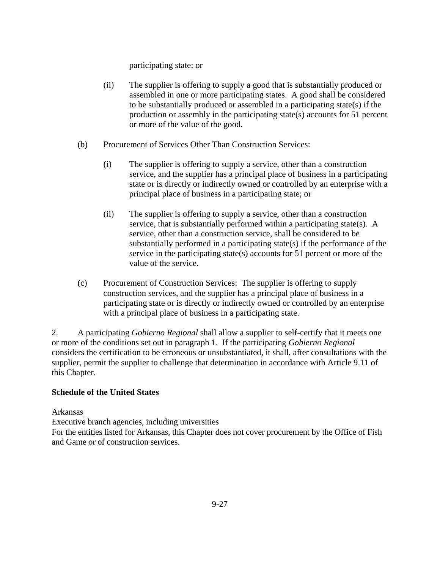participating state; or

- (ii) The supplier is offering to supply a good that is substantially produced or assembled in one or more participating states. A good shall be considered to be substantially produced or assembled in a participating state(s) if the production or assembly in the participating state(s) accounts for 51 percent or more of the value of the good.
- (b) Procurement of Services Other Than Construction Services:
	- (i) The supplier is offering to supply a service, other than a construction service, and the supplier has a principal place of business in a participating state or is directly or indirectly owned or controlled by an enterprise with a principal place of business in a participating state; or
	- (ii) The supplier is offering to supply a service, other than a construction service, that is substantially performed within a participating state(s). A service, other than a construction service, shall be considered to be substantially performed in a participating state(s) if the performance of the service in the participating state(s) accounts for 51 percent or more of the value of the service.
- (c) Procurement of Construction Services: The supplier is offering to supply construction services, and the supplier has a principal place of business in a participating state or is directly or indirectly owned or controlled by an enterprise with a principal place of business in a participating state.

2. A participating *Gobierno Regional* shall allow a supplier to self-certify that it meets one or more of the conditions set out in paragraph 1. If the participating *Gobierno Regional* considers the certification to be erroneous or unsubstantiated, it shall, after consultations with the supplier, permit the supplier to challenge that determination in accordance with Article 9.11 of this Chapter.

## **Schedule of the United States**

#### Arkansas

Executive branch agencies, including universities

For the entities listed for Arkansas, this Chapter does not cover procurement by the Office of Fish and Game or of construction services.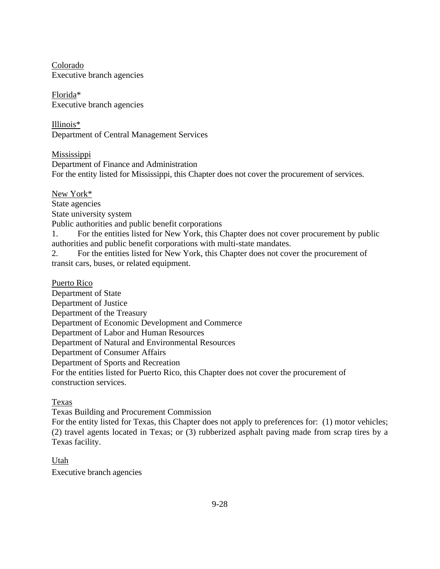Colorado Executive branch agencies

Florida\* Executive branch agencies

Illinois\* Department of Central Management Services

Mississippi Department of Finance and Administration For the entity listed for Mississippi, this Chapter does not cover the procurement of services.

New York\*

State agencies

State university system

Public authorities and public benefit corporations

1. For the entities listed for New York, this Chapter does not cover procurement by public authorities and public benefit corporations with multi-state mandates.

2. For the entities listed for New York, this Chapter does not cover the procurement of transit cars, buses, or related equipment.

Puerto Rico

Department of State Department of Justice Department of the Treasury Department of Economic Development and Commerce Department of Labor and Human Resources Department of Natural and Environmental Resources Department of Consumer Affairs Department of Sports and Recreation For the entities listed for Puerto Rico, this Chapter does not cover the procurement of construction services.

Texas

Texas Building and Procurement Commission

For the entity listed for Texas, this Chapter does not apply to preferences for: (1) motor vehicles; (2) travel agents located in Texas; or (3) rubberized asphalt paving made from scrap tires by a Texas facility.

Utah Executive branch agencies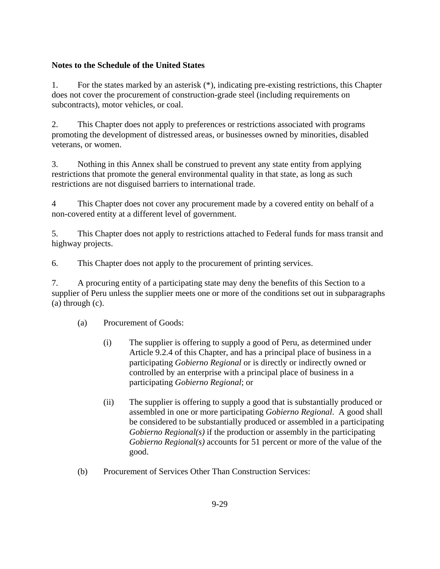## **Notes to the Schedule of the United States**

1. For the states marked by an asterisk (\*), indicating pre-existing restrictions, this Chapter does not cover the procurement of construction-grade steel (including requirements on subcontracts), motor vehicles, or coal.

2. This Chapter does not apply to preferences or restrictions associated with programs promoting the development of distressed areas, or businesses owned by minorities, disabled veterans, or women.

3. Nothing in this Annex shall be construed to prevent any state entity from applying restrictions that promote the general environmental quality in that state, as long as such restrictions are not disguised barriers to international trade.

4 This Chapter does not cover any procurement made by a covered entity on behalf of a non-covered entity at a different level of government.

5. This Chapter does not apply to restrictions attached to Federal funds for mass transit and highway projects.

6. This Chapter does not apply to the procurement of printing services.

7. A procuring entity of a participating state may deny the benefits of this Section to a supplier of Peru unless the supplier meets one or more of the conditions set out in subparagraphs (a) through (c).

(a) Procurement of Goods:

- (i) The supplier is offering to supply a good of Peru, as determined under Article 9.2.4 of this Chapter, and has a principal place of business in a participating *Gobierno Regional* or is directly or indirectly owned or controlled by an enterprise with a principal place of business in a participating *Gobierno Regional*; or
- (ii) The supplier is offering to supply a good that is substantially produced or assembled in one or more participating *Gobierno Regional*. A good shall be considered to be substantially produced or assembled in a participating *Gobierno Regional(s)* if the production or assembly in the participating *Gobierno Regional(s)* accounts for 51 percent or more of the value of the good.
- (b) Procurement of Services Other Than Construction Services: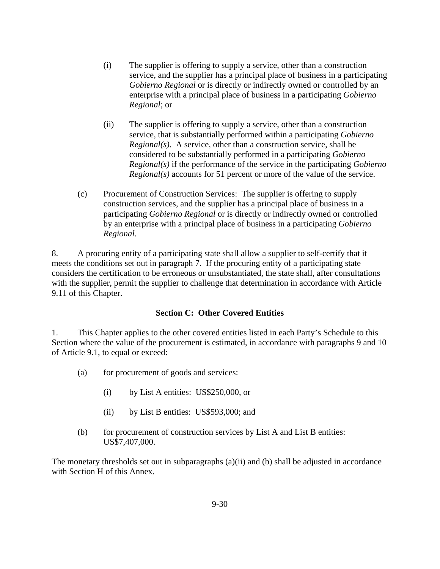- (i) The supplier is offering to supply a service, other than a construction service, and the supplier has a principal place of business in a participating *Gobierno Regional* or is directly or indirectly owned or controlled by an enterprise with a principal place of business in a participating *Gobierno Regional*; or
- (ii) The supplier is offering to supply a service, other than a construction service, that is substantially performed within a participating *Gobierno Regional(s)*. A service, other than a construction service, shall be considered to be substantially performed in a participating *Gobierno Regional(s)* if the performance of the service in the participating *Gobierno Regional(s)* accounts for 51 percent or more of the value of the service.
- (c) Procurement of Construction Services: The supplier is offering to supply construction services, and the supplier has a principal place of business in a participating *Gobierno Regional* or is directly or indirectly owned or controlled by an enterprise with a principal place of business in a participating *Gobierno Regional*.

8. A procuring entity of a participating state shall allow a supplier to self-certify that it meets the conditions set out in paragraph 7. If the procuring entity of a participating state considers the certification to be erroneous or unsubstantiated, the state shall, after consultations with the supplier, permit the supplier to challenge that determination in accordance with Article 9.11 of this Chapter.

#### **Section C: Other Covered Entities**

1. This Chapter applies to the other covered entities listed in each Party's Schedule to this Section where the value of the procurement is estimated, in accordance with paragraphs 9 and 10 of Article 9.1, to equal or exceed:

- (a) for procurement of goods and services:
	- (i) by List A entities: US\$250,000, or
	- (ii) by List B entities: US\$593,000; and
- (b) for procurement of construction services by List A and List B entities: US\$7,407,000.

The monetary thresholds set out in subparagraphs (a)(ii) and (b) shall be adjusted in accordance with Section H of this Annex.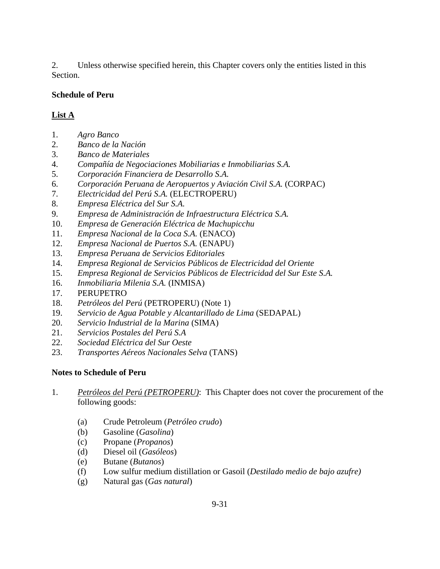2. Unless otherwise specified herein, this Chapter covers only the entities listed in this Section.

## **Schedule of Peru**

# **List A**

- 1. *Agro Banco*
- 2. *Banco de la Nación*
- 3. *Banco de Materiales*
- 4. *Compañía de Negociaciones Mobiliarias e Inmobiliarias S.A.*
- 5. *Corporación Financiera de Desarrollo S.A.*
- 6. *Corporación Peruana de Aeropuertos y Aviación Civil S.A.* (CORPAC)
- 7. *Electricidad del Perú S.A.* (ELECTROPERU)
- 8. *Empresa Eléctrica del Sur S.A.*
- 9. *Empresa de Administración de Infraestructura Eléctrica S.A.*
- 10. *Empresa de Generación Eléctrica de Machupicchu*
- 11. *Empresa Nacional de la Coca S.A.* (ENACO)
- 12. *Empresa Nacional de Puertos S.A.* (ENAPU)
- 13. *Empresa Peruana de Servicios Editoriales*
- 14. *Empresa Regional de Servicios Públicos de Electricidad del Oriente*
- 15. *Empresa Regional de Servicios Públicos de Electricidad del Sur Este S.A.*
- 16. *Inmobiliaria Milenia S.A.* (INMISA)
- 17. PERUPETRO
- 18. *Petróleos del Perú* (PETROPERU) (Note 1)
- 19. *Servicio de Agua Potable y Alcantarillado de Lima* (SEDAPAL)
- 20. *Servicio Industrial de la Marina* (SIMA)
- 21. *Servicios Postales del Perú S.A*
- 22. *Sociedad Eléctrica del Sur Oeste*
- 23. *Transportes Aéreos Nacionales Selva* (TANS)

## **Notes to Schedule of Peru**

- 1. *Petróleos del Perú (PETROPERU)*: This Chapter does not cover the procurement of the following goods:
	- (a) Crude Petroleum (*Petróleo crudo*)
	- (b) Gasoline (*Gasolina*)
	- (c) Propane (*Propanos*)
	- (d) Diesel oil (*Gasóleos*)
	- (e) Butane (*Butanos*)
	- (f) Low sulfur medium distillation or Gasoil (*Destilado medio de bajo azufre)*
	- (g) Natural gas (*Gas natural*)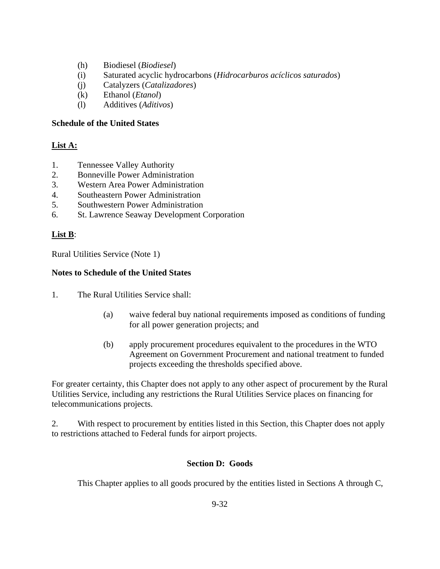- (h) Biodiesel (*Biodiesel*)
- (i) Saturated acyclic hydrocarbons (*Hidrocarburos acíclicos saturados*)
- (j) Catalyzers (*Catalizadores*)
- (k) Ethanol (*Etanol*)
- (l) Additives (*Aditivos*)

#### **Schedule of the United States**

## **List A:**

- 1. Tennessee Valley Authority
- 2. Bonneville Power Administration
- 3. Western Area Power Administration
- 4. Southeastern Power Administration
- 5. Southwestern Power Administration
- 6. St. Lawrence Seaway Development Corporation

## **List B**:

Rural Utilities Service (Note 1)

## **Notes to Schedule of the United States**

- 1. The Rural Utilities Service shall:
	- (a) waive federal buy national requirements imposed as conditions of funding for all power generation projects; and
	- (b) apply procurement procedures equivalent to the procedures in the WTO Agreement on Government Procurement and national treatment to funded projects exceeding the thresholds specified above.

For greater certainty, this Chapter does not apply to any other aspect of procurement by the Rural Utilities Service, including any restrictions the Rural Utilities Service places on financing for telecommunications projects.

2. With respect to procurement by entities listed in this Section, this Chapter does not apply to restrictions attached to Federal funds for airport projects.

# **Section D: Goods**

This Chapter applies to all goods procured by the entities listed in Sections A through C,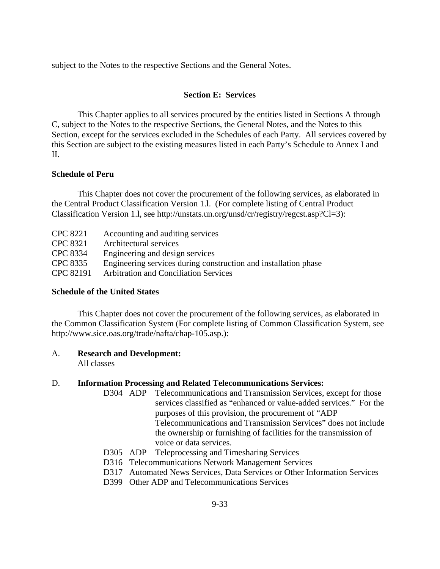subject to the Notes to the respective Sections and the General Notes.

#### **Section E: Services**

 This Chapter applies to all services procured by the entities listed in Sections A through C, subject to the Notes to the respective Sections, the General Notes, and the Notes to this Section, except for the services excluded in the Schedules of each Party. All services covered by this Section are subject to the existing measures listed in each Party's Schedule to Annex I and II.

#### **Schedule of Peru**

This Chapter does not cover the procurement of the following services, as elaborated in the Central Product Classification Version 1.l. (For complete listing of Central Product Classification Version 1.l, see http://unstats.un.org/unsd/cr/registry/regcst.asp?Cl=3):

| <b>CPC 8221</b> | Accounting and auditing services                                |
|-----------------|-----------------------------------------------------------------|
| CPC 8321        | Architectural services                                          |
| CPC 8334        | Engineering and design services                                 |
| CPC 8335        | Engineering services during construction and installation phase |
| CPC 82191       | <b>Arbitration and Conciliation Services</b>                    |

#### **Schedule of the United States**

 This Chapter does not cover the procurement of the following services, as elaborated in the Common Classification System (For complete listing of Common Classification System, see http://www.sice.oas.org/trade/nafta/chap-105.asp.):

#### A. **Research and Development:**

All classes

#### D. **Information Processing and Related Telecommunications Services:**

- D304 ADP Telecommunications and Transmission Services, except for those services classified as "enhanced or value-added services." For the purposes of this provision, the procurement of "ADP Telecommunications and Transmission Services" does not include the ownership or furnishing of facilities for the transmission of voice or data services.
- D305 ADP Teleprocessing and Timesharing Services
- D316 Telecommunications Network Management Services
- D317 Automated News Services, Data Services or Other Information Services
- D399 Other ADP and Telecommunications Services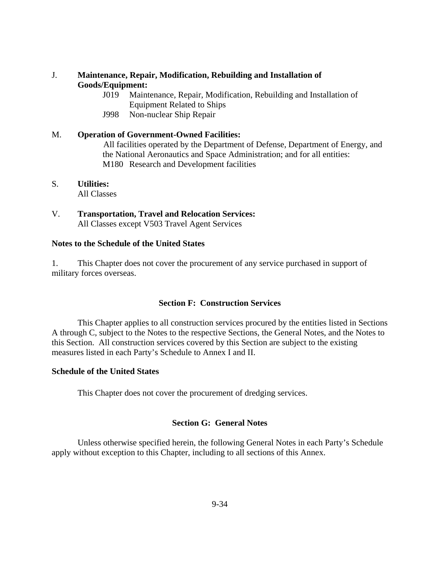#### J. **Maintenance, Repair, Modification, Rebuilding and Installation of Goods/Equipment:**

- J019 Maintenance, Repair, Modification, Rebuilding and Installation of Equipment Related to Ships
- J998 Non-nuclear Ship Repair

# M. **Operation of Government-Owned Facilities:**

 All facilities operated by the Department of Defense, Department of Energy, and the National Aeronautics and Space Administration; and for all entities: M180 Research and Development facilities

#### S. **Utilities:** All Classes

V. **Transportation, Travel and Relocation Services:** All Classes except V503 Travel Agent Services

#### **Notes to the Schedule of the United States**

1. This Chapter does not cover the procurement of any service purchased in support of military forces overseas.

## **Section F: Construction Services**

 This Chapter applies to all construction services procured by the entities listed in Sections A through C, subject to the Notes to the respective Sections, the General Notes, and the Notes to this Section. All construction services covered by this Section are subject to the existing measures listed in each Party's Schedule to Annex I and II.

#### **Schedule of the United States**

This Chapter does not cover the procurement of dredging services.

## **Section G: General Notes**

Unless otherwise specified herein, the following General Notes in each Party's Schedule apply without exception to this Chapter, including to all sections of this Annex.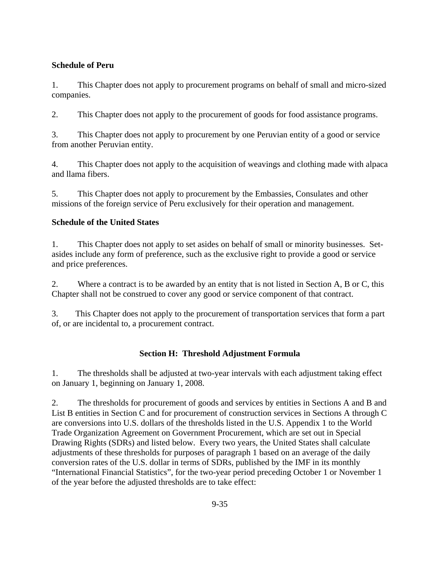## **Schedule of Peru**

1. This Chapter does not apply to procurement programs on behalf of small and micro-sized companies.

2. This Chapter does not apply to the procurement of goods for food assistance programs.

3. This Chapter does not apply to procurement by one Peruvian entity of a good or service from another Peruvian entity.

4. This Chapter does not apply to the acquisition of weavings and clothing made with alpaca and llama fibers.

5. This Chapter does not apply to procurement by the Embassies, Consulates and other missions of the foreign service of Peru exclusively for their operation and management.

# **Schedule of the United States**

1. This Chapter does not apply to set asides on behalf of small or minority businesses. Setasides include any form of preference, such as the exclusive right to provide a good or service and price preferences.

2. Where a contract is to be awarded by an entity that is not listed in Section A, B or C, this Chapter shall not be construed to cover any good or service component of that contract.

3. This Chapter does not apply to the procurement of transportation services that form a part of, or are incidental to, a procurement contract.

# **Section H: Threshold Adjustment Formula**

1. The thresholds shall be adjusted at two-year intervals with each adjustment taking effect on January 1, beginning on January 1, 2008.

2. The thresholds for procurement of goods and services by entities in Sections A and B and List B entities in Section C and for procurement of construction services in Sections A through C are conversions into U.S. dollars of the thresholds listed in the U.S. Appendix 1 to the World Trade Organization Agreement on Government Procurement, which are set out in Special Drawing Rights (SDRs) and listed below. Every two years, the United States shall calculate adjustments of these thresholds for purposes of paragraph 1 based on an average of the daily conversion rates of the U.S. dollar in terms of SDRs, published by the IMF in its monthly "International Financial Statistics", for the two-year period preceding October 1 or November 1 of the year before the adjusted thresholds are to take effect: